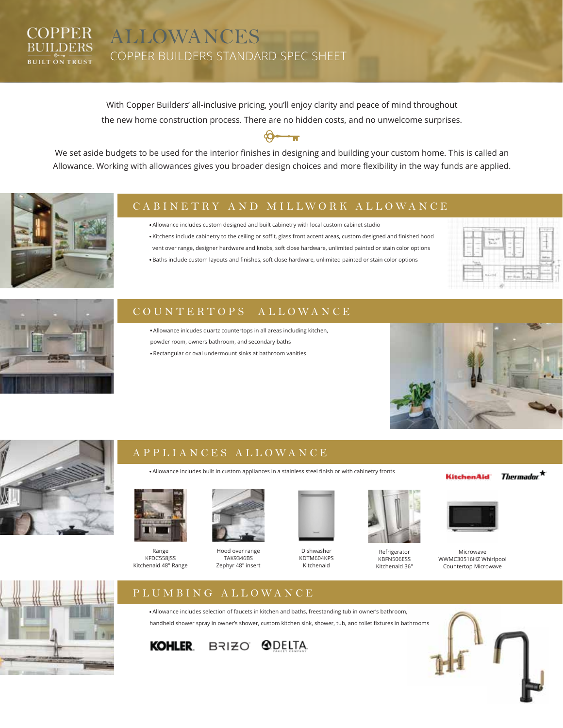#### **COPPER** ALLOWANCES **BUILDERS** COPPER BUILDERS STANDARD SPEC SHEET **BUILT ON TRUST**

With Copper Builders' all-inclusive pricing, you'll enjoy clarity and peace of mind throughout the new home construction process. There are no hidden costs, and no unwelcome surprises.

We set aside budgets to be used for the interior finishes in designing and building your custom home. This is called an Allowance. Working with allowances gives you broader design choices and more flexibility in the way funds are applied.



# CABINETRY AND MILLWORK ALLOWANCE

· Allowance includes custom designed and built cabinetry with local custom cabinet studio

- · Kitchens include cabinetry to the ceiling or soffit, glass front accent areas, custom designed and finished hood
- vent over range, designer hardware and knobs, soft close hardware, unlimited painted or stain color options







## COUNTERTOPS ALLOWANCE

- · Allowance inlcudes quartz countertops in all areas including kitchen, powder room, owners bathroom, and secondary baths
	- · Rectangular or oval undermount sinks at bathroom vanities





# APPLIANCES ALLOWANCE

· Allowance includes built in custom appliances in a stainless steel finish or with cabinetry fronts



Range KFDC558JSS Kitchenaid 48" Range



Hood over range TAK9346BS Zephyr 48" insert



Dishwasher KDTM604KPS Kitchenaid



Refrigerator KBFN506ESS Kitchenaid 36" **KitchenAid** 





Microwave WWMC30516HZ Whirlpool Countertop Microwave





· Allowance includes selection of faucets in kitchen and baths, freestanding tub in owner's bathroom, handheld shower spray in owner's shower, custom kitchen sink, shower, tub, and toilet fixtures in bathrooms



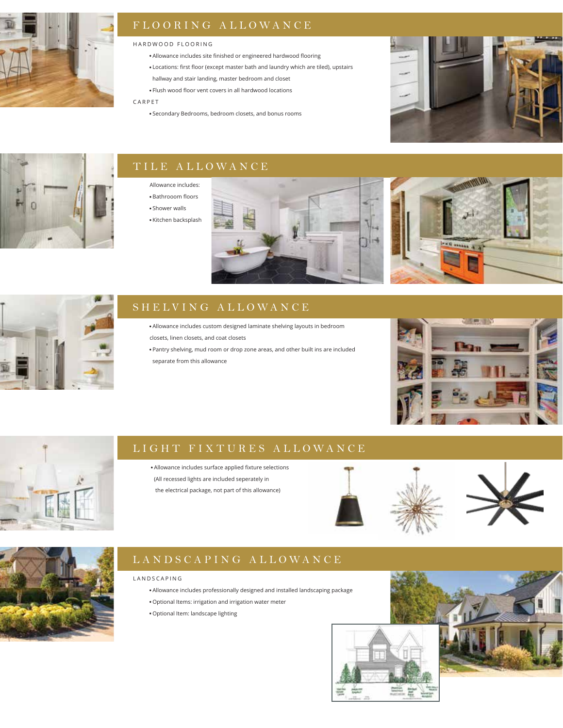

# FLOORING ALLOWANCE

#### HARDWOOD FLOORING

- · Allowance includes site finished or engineered hardwood flooring
- · Locations: first floor (except master bath and laundry which are tiled), upstairs hallway and stair landing, master bedroom and closet
- · Flush wood floor vent covers in all hardwood locations

### CARPET

· Secondary Bedrooms, bedroom closets, and bonus rooms





# TILE ALLOWANCE

- Allowance includes:
- · Bathrooom floors
- · Shower walls
- · Kitchen backsplash







# SHELVING ALLOWANCE

- · Allowance includes custom designed laminate shelving layouts in bedroom closets, linen closets, and coat closets
- · Pantry shelving, mud room or drop zone areas, and other built ins are included separate from this allowance





# LIGHT FIXTURES ALLOWANCE

- · Allowance includes surface applied fixture selections
- (All recessed lights are included seperately in
- the electrical package, not part of this allowance)





# LANDSCAPING ALLOWANCE

### LANDSCAPING

- · Allowance includes professionally designed and installed landscaping package
- · Optional Items: irrigation and irrigation water meter
- · Optional Item: landscape lighting



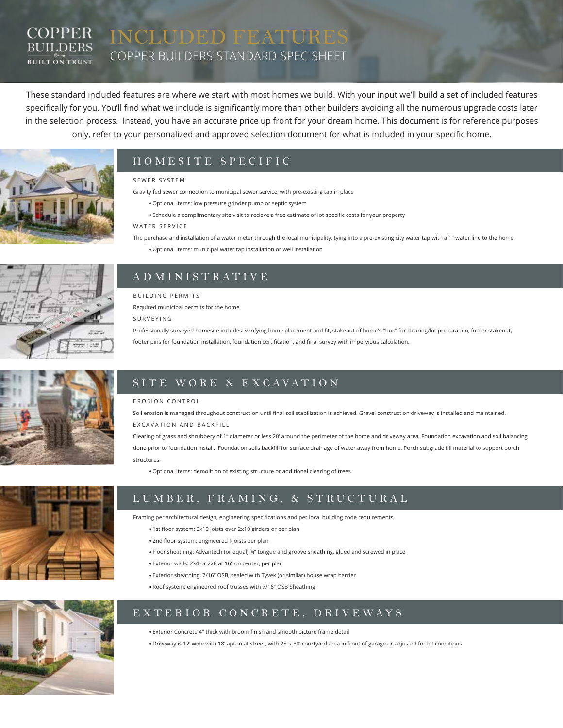### COPPER INCLUDED FEATURE **BUILDERS** COPPER BUILDERS STANDARD SPEC SHEET **BUILT ON TRUST**

These standard included features are where we start with most homes we build. With your input we'll build a set of included features specifically for you. You'll find what we include is significantly more than other builders avoiding all the numerous upgrade costs later in the selection process. Instead, you have an accurate price up front for your dream home. This document is for reference purposes only, refer to your personalized and approved selection document for what is included in your specific home.



# HOMESITE SPECIFIC

#### SEWER SYSTEM

Gravity fed sewer connection to municipal sewer service, with pre-existing tap in place

- · Optional Items: low pressure grinder pump or septic system
- · Schedule a complimentary site visit to recieve a free estimate of lot specific costs for your property

### WATER SERVICE

- The purchase and installation of a water meter through the local municipality, tying into a pre-existing city water tap with a 1" water line to the home
	- · Optional Items: municipal water tap installation or well installation



# ADMINISTRATIVE BUILDING PERMITS

Required municipal permits for the home

SURVEYING

Professionally surveyed homesite includes: verifying home placement and fit, stakeout of home's "box" for clearing/lot preparation, footer stakeout,

footer pins for foundation installation, foundation certification, and final survey with impervious calculation.



# SITE WORK & EXCAVATION

#### EROSION CONTROL

Soil erosion is managed throughout construction until final soil stabilization is achieved. Gravel construction driveway is installed and maintained. EXCAVATION AND BACKFILL

Clearing of grass and shrubbery of 1" diameter or less 20' around the perimeter of the home and driveway area. Foundation excavation and soil balancing done prior to foundation install. Foundation soils backfill for surface drainage of water away from home. Porch subgrade fill material to support porch structures.

· Optional Items: demolition of existing structure or additional clearing of trees



# LUMBER, FRAMING, & STRUCTURAL

Framing per architectural design, engineering specifications and per local building code requirements

- · 1st floor system: 2x10 joists over 2x10 girders or per plan
- · 2nd floor system: engineered I-joists per plan
- · Floor sheathing: Advantech (or equal) ¾" tongue and groove sheathing, glued and screwed in place
- · Exterior walls: 2x4 or 2x6 at 16" on center, per plan
- · Exterior sheathing: 7/16" OSB, sealed with Tyvek (or similar) house wrap barrier
- · Roof system: engineered roof trusses with 7/16" OSB Sheathing



EXTERIOR CONCRETE, DRIVEWAYS

· Exterior Concrete 4" thick with broom finish and smooth picture frame detail

· Driveway is 12' wide with 18' apron at street, with 25' x 30' courtyard area in front of garage or adjusted for lot conditions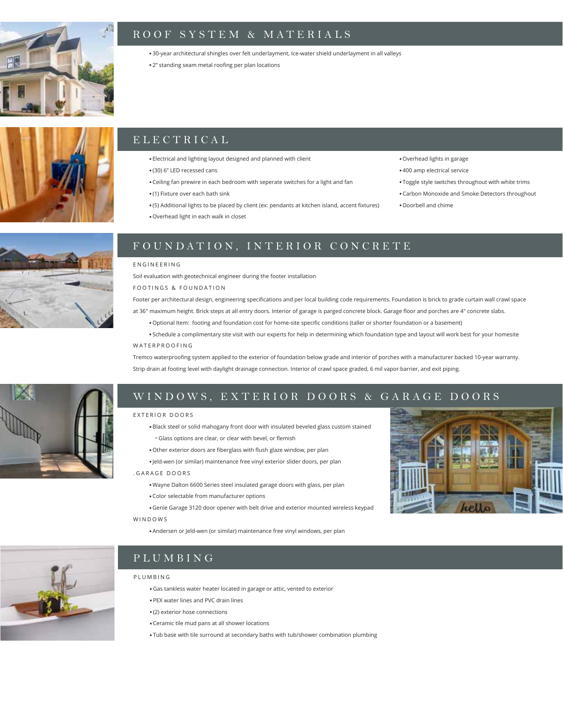

### ROOF SYSTEM & MATERIALS

· 30-year architectural shingles over felt underlayment, Ice-water shield underlayment in all valleys

· 2" standing seam metal roofing per plan locations



# ELECTRICAL

- · Electrical and lighting layout designed and planned with client
- · (30) 6" LED recessed cans
- · Ceiling fan prewire in each bedroom with seperate switches for a light and fan
- · (1) Fixture over each bath sink
- · (5) Additional lights to be placed by client (ex: pendants at kitchen island, accent fixtures)
- · Overhead light in each walk in closet
- · Overhead lights in garage
- · 400 amp electrical service
- · Toggle style switches throughout with white trims
- · Carbon Monoxide and Smoke Detectors throughout
- · Doorbell and chime



### FOUNDATION, INTERIOR CONCRETE

### ENGINEERING

Soil evaluation with geotechnical engineer during the footer installation

#### FOOTINGS & FOUNDATION

Footer per architectural design, engineering specifications and per local building code requirements. Foundation is brick to grade curtain wall crawl space at 36" maximum height. Brick steps at all entry doors. Interior of garage is parged concrete block. Garage floor and porches are 4" concrete slabs.

· Optional Item: footing and foundation cost for home-site specific conditions (taller or shorter foundation or a basement)

· Schedule a complimentary site visit with our experts for help in determining which foundation type and layout will work best for your homesite WATERPROOFING

Tremco waterproofing system applied to the exterior of foundation below grade and interior of porches with a manufacturer backed 10-year warranty. Strip drain at footing level with daylight drainage connection. Interior of crawl space graded, 6 mil vapor barrier, and exit piping.



### WINDOWS, EXTERIOR DOORS & GARAGE DOORS

#### EXTERIOR DOORS

- · Black steel or solid mahogany front door with insulated beveled glass custom stained º Glass options are clear, or clear with bevel, or flemish
- · Other exterior doors are fiberglass with flush glaze window, per plan

· Jeld-wen (or similar) maintenance free vinyl exterior slider doors, per plan

. GARAGE DOORS

· Wayne Dalton 6600 Series steel insulated garage doors with glass, per plan

· Andersen or Jeld-wen (or similar) maintenance free vinyl windows, per plan

· Color selectable from manufacturer options

· Genie Garage 3120 door opener with belt drive and exterior mounted wireless keypad WINDOWS



### PLUMBING

#### PLUMBING

- · Gas tankless water heater located in garage or attic, vented to exterior
- · PEX water lines and PVC drain lines
- · (2) exterior hose connections
- · Ceramic tile mud pans at all shower locations
- · Tub base with tile surround at secondary baths with tub/shower combination plumbing

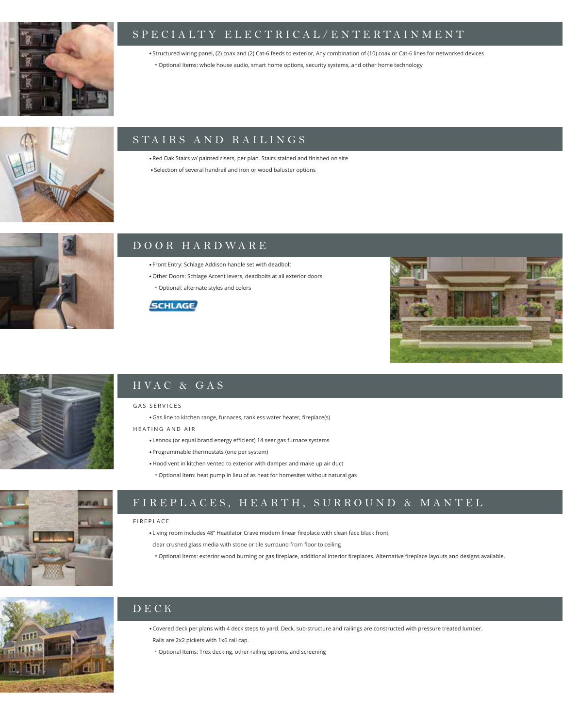

### SPECIALTY ELECTRICAL/ENTERTAINMENT

· Structured wiring panel, (2) coax and (2) Cat-6 feeds to exterior, Any combination of (10) coax or Cat-6 lines for networked devices

º Optional Items: whole house audio, smart home options, security systems, and other home technology



### STAIRS AND RAILINGS

· Red Oak Stairs w/ painted risers, per plan. Stairs stained and finished on site

· Selection of several handrail and iron or wood baluster options



### DOOR HARDWARE

· Front Entry: Schlage Addison handle set with deadbolt

· Other Doors: Schlage Accent levers, deadbolts at all exterior doors º Optional: alternate styles and colors







# HVAC & GAS

### GAS SERVICES

· Gas line to kitchen range, furnaces, tankless water heater, fireplace(s)

HEATING AND AIR

- · Lennox (or equal brand energy efficient) 14 seer gas furnace systems
- · Programmable thermostats (one per system)
- · Hood vent in kitchen vented to exterior with damper and make up air duct
- º Optional Item: heat pump in lieu of as heat for homesites without natural gas



# FIREPLACES, HEARTH, SURROUND & MANTEL

#### FIREPLACE

- · Living room includes 48" Heatilator Crave modern linear fireplace with clean face black front,
- clear crushed glass media with stone or tile surround from floor to ceiling
- º Optional items: exterior wood burning or gas fireplace, additional interior fireplaces. Alternative fireplace layouts and designs available.



# DECK

· Covered deck per plans with 4 deck steps to yard. Deck, sub-structure and railings are constructed with pressure treated lumber. Rails are 2x2 pickets with 1x6 rail cap.

º Optional Items: Trex decking, other railing options, and screening